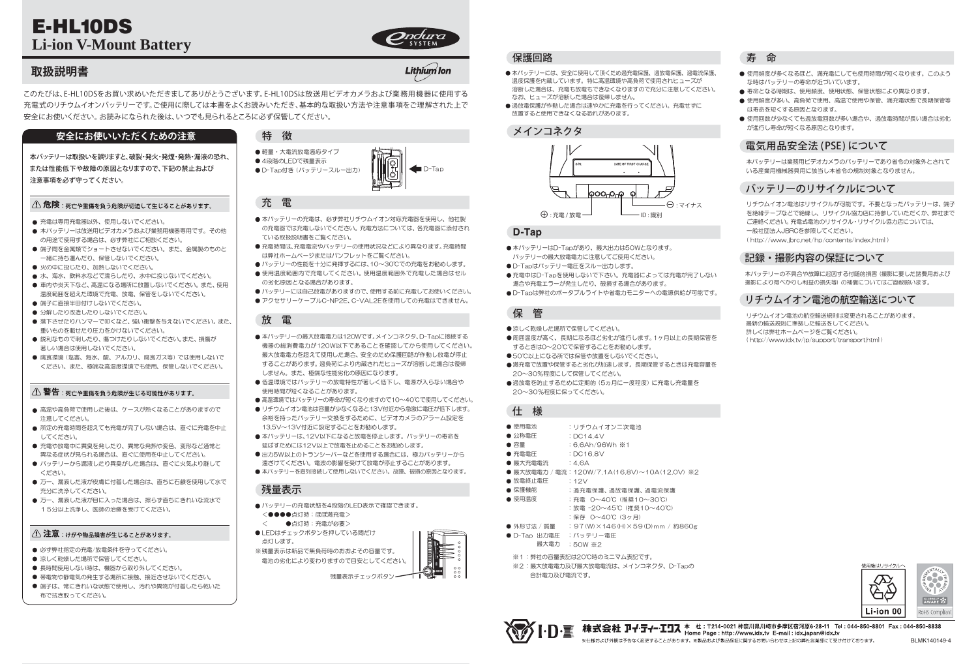- 本バッテリーには、安全に使用して頂くため過充電保護、過放電保護、過電流保護、 温度保護を内蔵しています。特に高温環境や高負荷で使用されヒューズが 溶断した場合は、充電も放電もできなくなりますので充分に注意してください。 なお、ヒューズが溶断した場合は復帰しません。
- 過放電保護が作動した場合は速やかに充電を行ってください。充電せずに 放置すると使用できなくなる恐れがあります。

- 本バッテリーは放送用ビデオカメラおよび業務用機器専用です。その他 の用途で使用する場合は、必ず弊社にご相談ください。
- 端子間を金属類でショートさせないでください。また、金属製のものと 一緒に持ち運んだり、保管しないでください。
- 火の中に投じたり、加熱しないでください。
- 水、海水、飲料水などで濡らしたり、水中に投じないでください。
- 車内や炎天下など、高温になる場所に放置しないでください。また、使用 温度範囲を超えた環境で充電、放電、保管をしないでください。
- 端子に直接半田付けしないでください。
- 分解したり改造したりしないでください。
- 落下させたりハンマーで叩くなど、強い衝撃を与えないでください。また、 重いものを載せたり圧力をかけないでください。
- 鋭利なもので刺したり、傷つけたりしないでください。また、損傷が 著しい場合は使用しないでください。
- 腐食環境 (塩害、海水、酸、アルカリ、腐食ガス等) では使用しないで ください。また、極端な高湿度環境でも使用、保管しないでください。

#### △ 警告 : 死亡や重傷を負う危険が生じる可能性があります。

- 高温や高負荷で使用した後は、ケースが熱くなることがありますので 注意してください。
- 所定の充電時間を超えても充電が完了しない場合は、直ぐに充電を中止 してください。
- 充電や放電中に異臭を発したり、異常な発熱や変色、変形など通常と 異なる症状が見られる場合は、直ぐに使用を中止してください。
- バッテリーから漏液したり異臭がした場合は、直ぐに火気より離して ください。
- 万一、漏液した液が皮膚に付着した場合は、直ちに石鹸を使用して水で 充分に洗浄してください。
- 万一、漏液した液が目に入った場合は、擦らず直ちにきれいな流水で 15分以上洗浄し、医師の治療を受けてください。

#### △ 注意:けがや物品損害が生じることがあります。

- 必ず弊社指定の充電/放電条件を守ってください。
- 涼しく乾燥した場所で保管してください。
- 長時間使用しない時は、機器から取り外してください。
- 帯電物や静電気の発生する場所に接触、接近させないでください。
- 端子は、常にきれいな状態で使用し、汚れや異物が付着したら乾いた 布で拭き取ってください。

- 軽量・大電流放電適応タイプ ● 4段階のLEDで残量表示
- D-Tap付き (バッテリースルー出力)
- $\blacksquare$ D-Tap

- ●涼しく乾燥した場所で保管してください。
- ●周囲温度が高く、長期になるほど劣化が進行します。1ヶ月以上の長期保管を するときは0~20℃で保管することをお勧めします。
- ●50℃以上になる所では保管や放置をしないでください。
- 満充電で放置や保管すると劣化が加速します。長期保管するときは充電容量を 20~30%程度にして保管してください。
- 過放電を防止するために定期的 (5ヵ月に一度程度) に充電し充電量を 20~30%程度に保ってください。

- バッテリーの充電状態を4段階のLED表示で確認できます。 <●●●●点灯時:ほぼ満充電>
- < ●点灯時:充電が必要>
- ●LEDはチェックボタンを押している間だけ 点灯します。

本バッテリーは取扱いを誤りますと、破裂・発火・発煙・発熱・漏液の恐れ、 または性能低下や故障の原因となりますので、下記の禁止および 注意事項を必ず守ってください。

#### △ 危険:死亡や重傷を負う危険が切迫して生じることがあります。

● 充電は専用充電器以外、使用しないでください。

- 使用頻度が多くなるほど、満充電にしても使用時間が短くなります。このよう な時はバッテリーの寿命が近づいています。
- 寿命となる時期は、使用頻度、使用状態、保管状態により異なります。
- 使用頻度が多い、高負荷で使用、高温で使用や保管、満充電状態で長期保管等 は寿命を短くする原因となります。
- 使用回数が少なくても過放電回数が多い場合や、過放電時間が長い場合は劣化 が進行し寿命が短くなる原因となります。

#### 充 電

- 本バッテリーの充電は、必ず弊社リチウムイオン対応充電器を使用し、他社製 の充電器では充電しないでください。充電方法については、各充電器に添付され ている取扱説明書をご覧ください。
- 充電時間は、充電電流やバッテリーの使用状況などにより異なります。充電時間 は弊社ホームページまたはパンフレットをご覧ください。
- バッテリーの性能を十分に発揮するには、10~30℃での充電をお勧めします。
- ●使用温度範囲内で充電してください。使用温度範囲外で充電した場合はセル の劣化原因となる場合があります。
- バッテリーには自己放電がありますので、使用する前に充電してお使いください。
- アクセサリーケーブルC-NP2E、C-VAL2Eを使用しての充電はできません。



## **D-Tap**

- ●本バッテリーはD-Tapがあり、最大出力は50Wとなります。 バッテリーの最大放電電力に注意してご使用ください。
- D-Tapはバッテリー電圧をスルー出力します。
- ●充電中はD-Tapを使用しないで下さい。充電器によっては充電が完了しない 場合や充電エラーが発生したり、破損する場合があります。
- ●D-Tapは弊社のポータブルライトや省電力モニターへの電源供給が可能です。

- 使用電池 公称電圧 ● 容量 ● 充電電圧 ● 最大充電電流 最大放電電力 / 電流 :120W/7.1A(16.8V)~10A(12.0V) ※2 ● 放電終止電圧 ● 保護機能 ● 使用温度 ● 外形寸法 / 質量 :リチウムイオン二次電池 :DC14.4V :6.6Ah/96Wh ※1 :DC16.8V :4.6A :12V :過充電保護、過放電保護、過電流保護 :充電 0~40℃ (推奨10~30℃) :放電 -20~45℃ (推奨10~40℃) :保存 0~40℃ (3ヶ月) :97(W)×146(H)×59(D)mm / 約860g
- D-Tap 出力電圧 :バッテリー電圧 最大電力 :50W ※2
- ※1:弊社の容量表記は20℃時のミニマム表記です。
- ※2:最大放電電力及び最大放電電流は、メインコネクタ、D-Tapの 合計電力及び電流です。
	- 。<br>※仕様および外観は予告なく変更することがあります。※製品および製品保証に関するお問い合わせは上記の弊社営業部にて受け付けております。

Lithium lon



# 保 管

# 仕 様

## 残量表示

※残量表示は新品で無負荷時のおおよその容量です。 電池の劣化により変わりますので目安としてください。

残量表示チェックボタンー

#### 記録・撮影内容の保証について

本バッテリーの不具合や故障に起因する付随的損害 (撮影に要した諸費用および 撮影により得べかりし利益の損失等) の補償についてはご容赦願います。

## リチウムイオン電池の航空輸送について

リチウムイオン電池の航空輸送規則は変更されることがあります。 最新の輸送規則に準拠した輸送をしてください。 詳しくは弊社ホームページをご覧ください。 ( http://www.idx.tv/jp/support/transport.html )



## バッテリーのリサイクルについて

リチウムイオン電池はリサイクルが可能です。不要となったバッテリーは、端子 を絶縁テープなどで絶縁し、リサイクル協力店に持参していただくか、弊社まで ご連絡ください。充電式電池のリサイクル・リサイクル協力店については、

一般社団法人JBRCを参照してください。

( http://www.jbrc.net/hp/contents/index.html )

#### 寿 命

#### 電気用品安全法 (PSE) について

本バッテリーは業務用ビデオカメラのバッテリーであり省令の対象外とされて いる産業用機械器具用に該当し本省令の規制対象となりません。

このたびは、E-HL10DSをお買い求めいただきましてありがとうございます。 E-HL10DSは放送用ビデオカメラおよび業務用機器に使用する 充電式のリチウムイオンバッテリーです。ご使用に際しては本書をよくお読みいただき、基本的な取扱い方法や注意事項をご理解された上で 安全にお使いください。お読みになられた後は、いつでも見られるところに必ず保管してください。

#### 安全にお使いいただくための注意 インス 精 徴

# 放 電

- ●本バッテリーの最大放電電力は120Wです。メインコネクタ、D-Tapに接続する 機器の総消費電力が120W以下であることを確認してから使用してください。 最大放電電力を超えて使用した場合、安全のため保護回路が作動し放電が停止 することがあります。過負荷により内蔵されたヒューズが溶断した場合は復帰 しません。また、極端な性能劣化の原因になります。
- ●低温環境ではバッテリーの放電特性が著しく低下し、電源が入らない場合や 使用時間が短くなることがあります。
- 高温環境ではバッテリーの寿命が短くなりますので10~40℃で使用してください。
- リチウムイオン電池は容量が少なくなると13V付近から急激に電圧が低下します。 余裕を持ったバッテリー交換をするために、ビデオカメラのアラーム設定を 13.5V~13V付近に設定することをお勧めします。
- ●本バッテリーは、12V以下になると放電を停止します。バッテリーの寿命を 延ばすためには12V以上で放電を止めることをお勧めします。
- 出力5W以上のトランシーバーなどを使用する場合には、極力バッテリーから 遠ざけてください。電波の影響を受けて放電が停止することがあります。
- 本バッテリーを直列接続して使用しないでください。故障、破損の原因となります。

#### 保護回路

# メインコネクタ

# **取扱説明書**

# E-HL10DS **Li-ion V-Mount Battery**